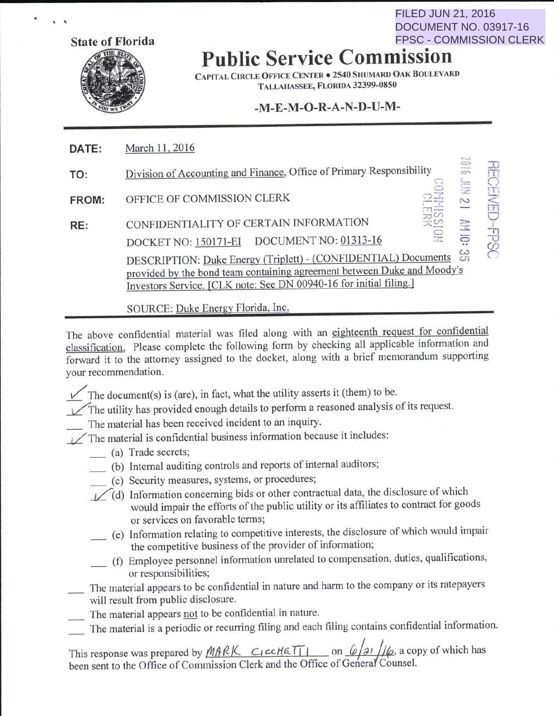**State of Florida** 

 $\cdot$ 

## **Public Service Commission**

FILED JUN 21, 2016

DOCUMENT NO. 03917-16 FPSC - COMMISSION CLERK

CAPITAL CIRCLE OFFICE CENTER • 2540 SHUMARD OAK BOULEVARD TALLAHASSEE, FLORIDA 32399-0850

## **-M-E-M-0-R-A-N-D-U-M-**

| DATE: | March 11, 2016                                                                                                                                                                                                                                                                                                           |   |
|-------|--------------------------------------------------------------------------------------------------------------------------------------------------------------------------------------------------------------------------------------------------------------------------------------------------------------------------|---|
| TO:   | E<br>Division of Accounting and Finance, Office of Primary Responsibility<br>Ş                                                                                                                                                                                                                                           |   |
| FROM: | OFFICE OF COMMISSION CLERK<br>S                                                                                                                                                                                                                                                                                          |   |
| RE:   | CONFIDENTIALITY OF CERTAIN INFORMATION<br>읂<br>ā<br>DOCKET NO: 150171-EI DOCUMENT NO: 01313-16<br>ယ္က<br>DESCRIPTION: Duke Energy (Triplett) - (CONFIDENTIAL) Documents<br>provided by the bond team containing agreement between Duke and Moody's<br>Investors Service. [CLK note: See DN 00940-16 for initial filing.] | 円 |
|       |                                                                                                                                                                                                                                                                                                                          |   |

SOURCE: Duke Energy Florida, Inc.

The above confidential material was filed along with an eighteenth request for confidential classification. Please complete the following form by checking all applicable information and forward it to the attorney assigned to the docket, along with a brief memorandum supporting your recommendation.

- $\checkmark$  The document(s) is (are), in fact, what the utility asserts it (them) to be.
- $\sqrt{\ }$  The utility has provided enough details to perform a reasoned analysis of its request.
	- The material has been received incident to an inquiry.
- $\angle$ The material is confidential business information because it includes:
	- \_ (a) Trade secrets;
	- (b) Internal auditing controls and reports of internal auditors;
	- \_ (c) Security measures, systems, or procedures;
	- $\log$ (d) Information concerning bids or other contractual data, the disclosure of which would impair the efforts of the public utility or its affiliates to contract for goods or services on favorable terms;
		- \_ (e) Information relating to competitive interests, the disclosure of which would impair the competitive business of the provider of information;
		- \_ (f) Employee personnel information unrelated to compensation, duties, qualifications, or responsibilities;
- The material appears to be confidential in nature and harm to the company or its ratepayers will result from public disclosure.
- The material appears not to be confidential in nature.
- The material is a periodic or recurring filing and each filing contains confidential information.

This response was prepared by  $M \land R \not\subset \text{ccl} \& \text{iff} \quad \text{if} \quad \text{on} \quad \text{if} \quad \text{if} \quad \text{if} \quad \text{if} \quad \text{if} \quad \text{if} \quad \text{if} \quad \text{if} \quad \text{if} \quad \text{if} \quad \text{if} \quad \text{if} \quad \text{if} \quad \text{if} \quad \text{if} \quad \text{if} \quad \text{if} \quad \text{if} \quad \text{if} \quad \text{if} \quad \text{if} \quad \text{if} \$ been sent to the Office of Commission Clerk and the Office of General Counsel.